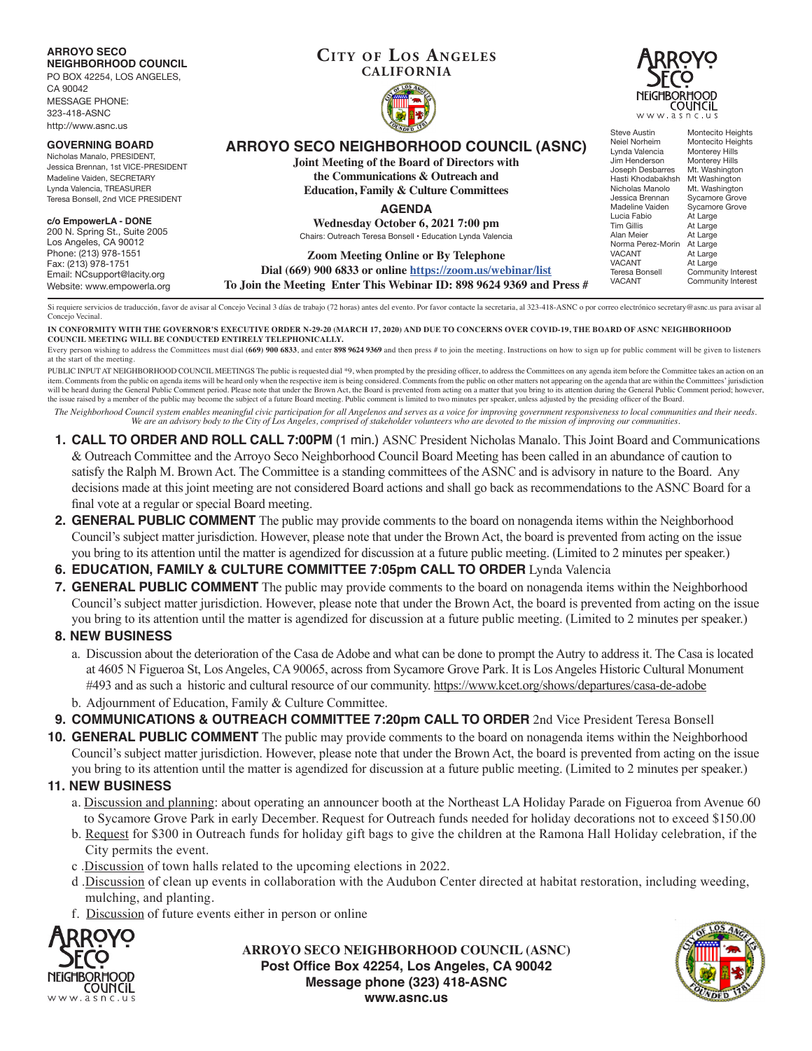

**IN CONFORMITY WITH THE GOVERNOR'S EXECUTIVE ORDER N-29-20 (MARCH 17, 2020) AND DUE TO CONCERNS OVER COVID-19, THE BOARD OF ASNC NEIGHBORHOOD COUNCIL MEETING WILL BE CONDUCTED ENTIRELY TELEPHONICALLY.**

Every person wishing to address the Committees must dial (669) 900 6833, and enter 898 9624 9369 and then press # to join the meeting. Instructions on how to sign up for public comment will be given to listeners at the start of the meeting.

PUBLIC INPUT AT NEIGHBORHOOD COUNCIL MEETINGS The public is requested dial \*9, when prompted by the presiding officer, to address the Committees on any agenda item before the Committee takes an action on an item. Comments from the public on agenda items will be heard only when the respective item is being considered. Comments from the public on other matters not appearing on the agenda that are within the Committees' jurisdic will be heard during the General Public Comment period. Please note that under the Brown Act, the Board is prevented from acting on a matter that you bring to its attention during the General Public Comment period; however the issue raised by a member of the public may become the subject of a future Board meeting. Public comment is limited to two minutes per speaker, unless adjusted by the presiding officer of the Board.

*The Neighborhood Council system enables meaningful civic participation for all Angelenos and serves as a voice for improving government responsiveness to local communities and their needs. We are an advisory body to the City of Los Angeles, comprised of stakeholder volunteers who are devoted to the mission of improving our communities.*

- **1. CALL TO ORDER AND ROLL CALL 7:00PM** (1 min.) ASNC President Nicholas Manalo. This Joint Board and Communications & Outreach Committee and the Arroyo Seco Neighborhood Council Board Meeting has been called in an abundance of caution to satisfy the Ralph M. Brown Act. The Committee is a standing committees of the ASNC and is advisory in nature to the Board. Any decisions made at this joint meeting are not considered Board actions and shall go back as recommendations to the ASNC Board for a final vote at a regular or special Board meeting.
- **2. GENERAL PUBLIC COMMENT** The public may provide comments to the board on nonagenda items within the Neighborhood Council's subject matter jurisdiction. However, please note that under the Brown Act, the board is prevented from acting on the issue you bring to its attention until the matter is agendized for discussion at a future public meeting. (Limited to 2 minutes per speaker.)
- **6. EDUCATION, FAMILY & CULTURE COMMITTEE 7:05pm CALL TO ORDER** Lynda Valencia
- **7. GENERAL PUBLIC COMMENT** The public may provide comments to the board on nonagenda items within the Neighborhood Council's subject matter jurisdiction. However, please note that under the Brown Act, the board is prevented from acting on the issue you bring to its attention until the matter is agendized for discussion at a future public meeting. (Limited to 2 minutes per speaker.)

# **8. NEW BUSINESS**

- a. Discussion about the deterioration of the Casa de Adobe and what can be done to prompt the Autry to address it. The Casa is located at 4605 N Figueroa St, Los Angeles, CA 90065, across from Sycamore Grove Park. It is Los Angeles Historic Cultural Monument #493 and as such a historic and cultural resource of our community. https://www.kcet.org/shows/departures/casa-de-adobe b. Adjournment of Education, Family & Culture Committee.
- 
- **9. COMMUNICATIONS & OUTREACH COMMITTEE 7:20pm CALL TO ORDER** 2nd Vice President Teresa Bonsell

**10. GENERAL PUBLIC COMMENT** The public may provide comments to the board on nonagenda items within the Neighborhood Council's subject matter jurisdiction. However, please note that under the Brown Act, the board is prevented from acting on the issue you bring to its attention until the matter is agendized for discussion at a future public meeting. (Limited to 2 minutes per speaker.)

### **11. NEW BUSINESS**

- a. Discussion and planning: about operating an announcer booth at the Northeast LA Holiday Parade on Figueroa from Avenue 60 to Sycamore Grove Park in early December. Request for Outreach funds needed for holiday decorations not to exceed \$150.00
- b. Request for \$300 in Outreach funds for holiday gift bags to give the children at the Ramona Hall Holiday celebration, if the City permits the event.
- c .Discussion of town halls related to the upcoming elections in 2022.
- d .Discussion of clean up events in collaboration with the Audubon Center directed at habitat restoration, including weeding, mulching, and planting.
- f. Discussion of future events either in person or online



**ARROYO SECO NEIGHBORHOOD COUNCIL (ASNC) Post Office Box 42254, Los Angeles, CA 90042 Message phone (323) 418-ASNC www.asnc.us**